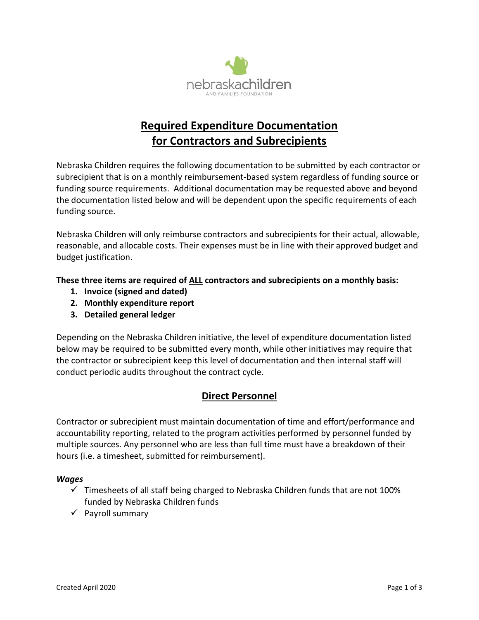

# **Required Expenditure Documentation for Contractors and Subrecipients**

Nebraska Children requires the following documentation to be submitted by each contractor or subrecipient that is on a monthly reimbursement-based system regardless of funding source or funding source requirements. Additional documentation may be requested above and beyond the documentation listed below and will be dependent upon the specific requirements of each funding source.

Nebraska Children will only reimburse contractors and subrecipients for their actual, allowable, reasonable, and allocable costs. Their expenses must be in line with their approved budget and budget justification.

**These three items are required of ALL contractors and subrecipients on a monthly basis:**

- **1. Invoice (signed and dated)**
- **2. Monthly expenditure report**
- **3. Detailed general ledger**

Depending on the Nebraska Children initiative, the level of expenditure documentation listed below may be required to be submitted every month, while other initiatives may require that the contractor or subrecipient keep this level of documentation and then internal staff will conduct periodic audits throughout the contract cycle.

# **Direct Personnel**

Contractor or subrecipient must maintain documentation of time and effort/performance and accountability reporting, related to the program activities performed by personnel funded by multiple sources. Any personnel who are less than full time must have a breakdown of their hours (i.e. a timesheet, submitted for reimbursement).

## *Wages*

- $\checkmark$  Timesheets of all staff being charged to Nebraska Children funds that are not 100% funded by Nebraska Children funds
- ✓ Payroll summary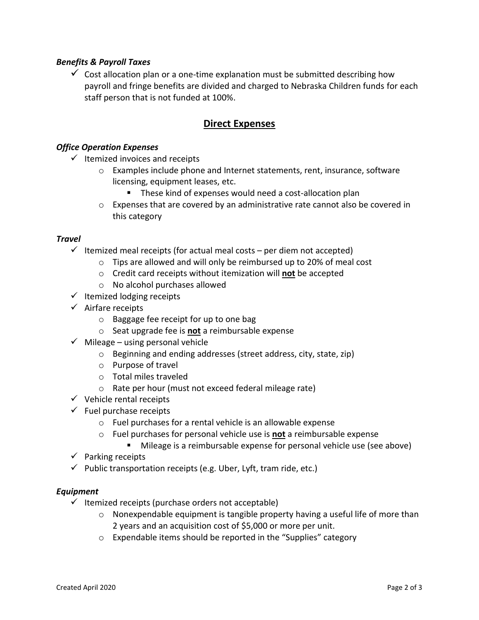## *Benefits & Payroll Taxes*

 $\checkmark$  Cost allocation plan or a one-time explanation must be submitted describing how payroll and fringe benefits are divided and charged to Nebraska Children funds for each staff person that is not funded at 100%.

# **Direct Expenses**

## *Office Operation Expenses*

- $\checkmark$  Itemized invoices and receipts
	- o Examples include phone and Internet statements, rent, insurance, software licensing, equipment leases, etc.
		- **E** These kind of expenses would need a cost-allocation plan
	- $\circ$  Expenses that are covered by an administrative rate cannot also be covered in this category

#### *Travel*

- $\checkmark$  Itemized meal receipts (for actual meal costs per diem not accepted)
	- $\circ$  Tips are allowed and will only be reimbursed up to 20% of meal cost
	- o Credit card receipts without itemization will **not** be accepted
	- o No alcohol purchases allowed
- $\checkmark$  Itemized lodging receipts
- $\checkmark$  Airfare receipts
	- o Baggage fee receipt for up to one bag
	- o Seat upgrade fee is **not** a reimbursable expense
- $\checkmark$  Mileage using personal vehicle
	- o Beginning and ending addresses (street address, city, state, zip)
	- o Purpose of travel
	- o Total miles traveled
	- o Rate per hour (must not exceed federal mileage rate)
- $\checkmark$  Vehicle rental receipts
- $\checkmark$  Fuel purchase receipts
	- o Fuel purchases for a rental vehicle is an allowable expense
	- o Fuel purchases for personal vehicle use is **not** a reimbursable expense
		- Mileage is a reimbursable expense for personal vehicle use (see above)
- $\checkmark$  Parking receipts
- $\checkmark$  Public transportation receipts (e.g. Uber, Lyft, tram ride, etc.)

#### *Equipment*

- $\checkmark$  Itemized receipts (purchase orders not acceptable)
	- $\circ$  Nonexpendable equipment is tangible property having a useful life of more than 2 years and an acquisition cost of \$5,000 or more per unit.
	- o Expendable items should be reported in the "Supplies" category